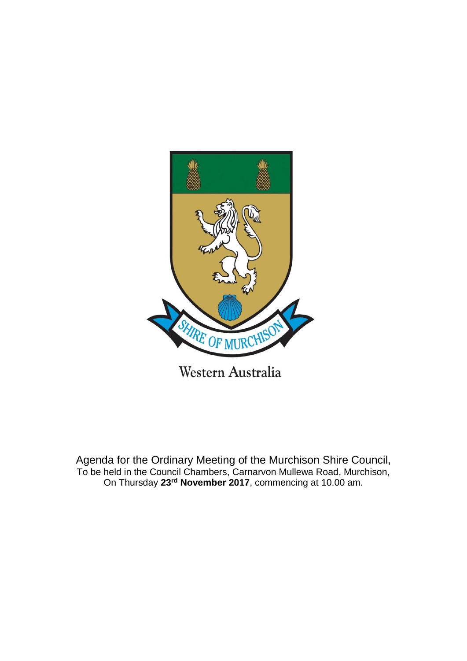

Agenda for the Ordinary Meeting of the Murchison Shire Council, To be held in the Council Chambers, Carnarvon Mullewa Road, Murchison, On Thursday **23rd November 2017**, commencing at 10.00 am.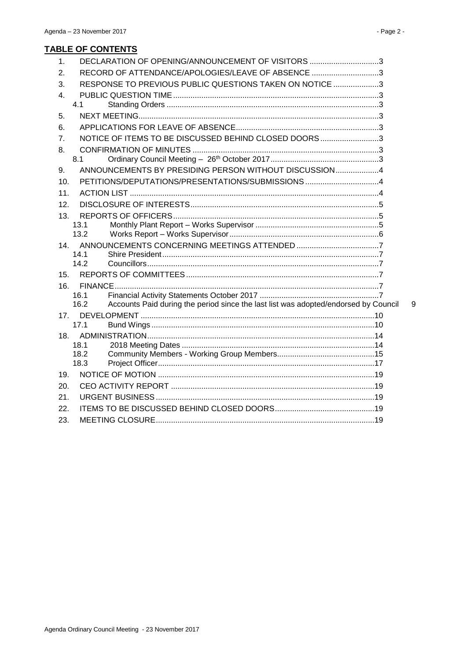# **TABLE OF CONTENTS**

| 1.  |              | DECLARATION OF OPENING/ANNOUNCEMENT OF VISITORS 3                                   |   |
|-----|--------------|-------------------------------------------------------------------------------------|---|
| 2.  |              | RECORD OF ATTENDANCE/APOLOGIES/LEAVE OF ABSENCE 3                                   |   |
| 3.  |              | RESPONSE TO PREVIOUS PUBLIC QUESTIONS TAKEN ON NOTICE 3                             |   |
| 4.  |              |                                                                                     |   |
|     | 4.1          |                                                                                     |   |
| 5.  |              |                                                                                     |   |
| 6.  |              |                                                                                     |   |
| 7.  |              | NOTICE OF ITEMS TO BE DISCUSSED BEHIND CLOSED DOORS 3                               |   |
| 8.  |              |                                                                                     |   |
|     | 8.1          |                                                                                     |   |
| 9.  |              | ANNOUNCEMENTS BY PRESIDING PERSON WITHOUT DISCUSSION4                               |   |
| 10. |              | PETITIONS/DEPUTATIONS/PRESENTATIONS/SUBMISSIONS4                                    |   |
| 11. |              |                                                                                     |   |
| 12. |              |                                                                                     |   |
| 13. |              |                                                                                     |   |
|     | 13.1         |                                                                                     |   |
|     | 13.2         |                                                                                     |   |
| 14. | 14.1         |                                                                                     |   |
|     | 14.2         |                                                                                     |   |
| 15. |              |                                                                                     |   |
| 16. |              |                                                                                     |   |
|     | 16.1         |                                                                                     |   |
|     | 162          | Accounts Paid during the period since the last list was adopted/endorsed by Council | 9 |
| 17. |              |                                                                                     |   |
|     | 171          |                                                                                     |   |
| 18. |              |                                                                                     |   |
|     | 18.1<br>18.2 |                                                                                     |   |
|     | 18.3         |                                                                                     |   |
| 19. |              |                                                                                     |   |
| 20. |              |                                                                                     |   |
| 21. |              |                                                                                     |   |
| 22. |              |                                                                                     |   |
| 23. |              |                                                                                     |   |
|     |              |                                                                                     |   |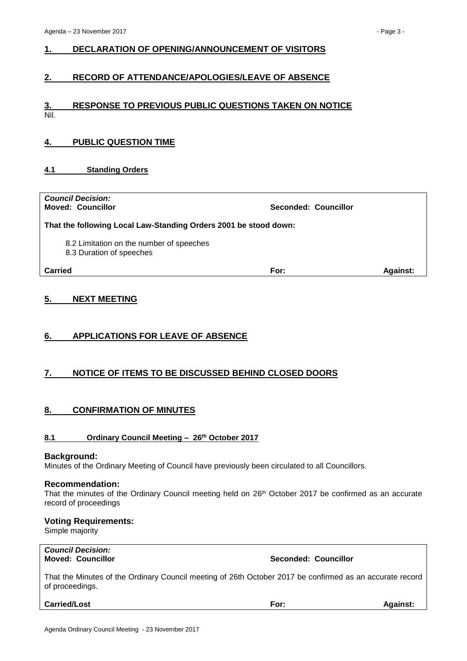# <span id="page-2-0"></span>**1. DECLARATION OF OPENING/ANNOUNCEMENT OF VISITORS**

# <span id="page-2-1"></span>**2. RECORD OF ATTENDANCE/APOLOGIES/LEAVE OF ABSENCE**

# <span id="page-2-2"></span>**3. RESPONSE TO PREVIOUS PUBLIC QUESTIONS TAKEN ON NOTICE** Nil.

# <span id="page-2-3"></span>**4. PUBLIC QUESTION TIME**

# <span id="page-2-4"></span>**4.1 Standing Orders**

| <b>Council Decision:</b><br><b>Moved: Councillor</b>                 | Seconded: Councillor |                 |
|----------------------------------------------------------------------|----------------------|-----------------|
| That the following Local Law-Standing Orders 2001 be stood down:     |                      |                 |
| 8.2 Limitation on the number of speeches<br>8.3 Duration of speeches |                      |                 |
| Carried                                                              | For:                 | <b>Against:</b> |

# <span id="page-2-5"></span>**5. NEXT MEETING**

# <span id="page-2-6"></span>**6. APPLICATIONS FOR LEAVE OF ABSENCE**

# <span id="page-2-7"></span>**7. NOTICE OF ITEMS TO BE DISCUSSED BEHIND CLOSED DOORS**

# <span id="page-2-8"></span>**8. CONFIRMATION OF MINUTES**

# <span id="page-2-9"></span>**8.1 Ordinary Council Meeting – 26th October 2017**

#### **Background:**

Minutes of the Ordinary Meeting of Council have previously been circulated to all Councillors.

#### **Recommendation:**

That the minutes of the Ordinary Council meeting held on 26<sup>th</sup> October 2017 be confirmed as an accurate record of proceedings

### **Voting Requirements:**

Simple majority

*Council Decision:*

**Moved: Councillor Seconded: Councillor**

That the Minutes of the Ordinary Council meeting of 26th October 2017 be confirmed as an accurate record of proceedings.

**Carried/Lost For: Against:**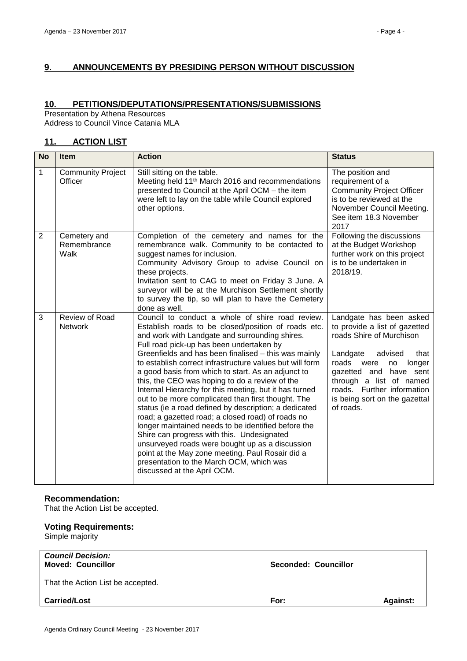# <span id="page-3-0"></span>**9. ANNOUNCEMENTS BY PRESIDING PERSON WITHOUT DISCUSSION**

# <span id="page-3-1"></span>**10. PETITIONS/DEPUTATIONS/PRESENTATIONS/SUBMISSIONS**

Presentation by Athena Resources Address to Council Vince Catania MLA

# <span id="page-3-2"></span>**11. ACTION LIST**

| <b>No</b>      | <b>Item</b>                         | <b>Action</b>                                                                                                                                                                                                                                                                                                                                                                                                                                                                                                                                                                                                                                                                                                                                                                                                                                                                                                                                          | <b>Status</b>                                                                                                                                                                                                                                                                      |
|----------------|-------------------------------------|--------------------------------------------------------------------------------------------------------------------------------------------------------------------------------------------------------------------------------------------------------------------------------------------------------------------------------------------------------------------------------------------------------------------------------------------------------------------------------------------------------------------------------------------------------------------------------------------------------------------------------------------------------------------------------------------------------------------------------------------------------------------------------------------------------------------------------------------------------------------------------------------------------------------------------------------------------|------------------------------------------------------------------------------------------------------------------------------------------------------------------------------------------------------------------------------------------------------------------------------------|
| 1              | <b>Community Project</b><br>Officer | Still sitting on the table.<br>Meeting held 11 <sup>th</sup> March 2016 and recommendations<br>presented to Council at the April OCM - the item<br>were left to lay on the table while Council explored<br>other options.                                                                                                                                                                                                                                                                                                                                                                                                                                                                                                                                                                                                                                                                                                                              | The position and<br>requirement of a<br><b>Community Project Officer</b><br>is to be reviewed at the<br>November Council Meeting.<br>See item 18.3 November<br>2017                                                                                                                |
| $\overline{2}$ | Cemetery and<br>Remembrance<br>Walk | Completion of the cemetery and names for the<br>remembrance walk. Community to be contacted to<br>suggest names for inclusion.<br>Community Advisory Group to advise Council on<br>these projects.<br>Invitation sent to CAG to meet on Friday 3 June. A<br>surveyor will be at the Murchison Settlement shortly<br>to survey the tip, so will plan to have the Cemetery<br>done as well.                                                                                                                                                                                                                                                                                                                                                                                                                                                                                                                                                              | Following the discussions<br>at the Budget Workshop<br>further work on this project<br>is to be undertaken in<br>2018/19.                                                                                                                                                          |
| 3              | Review of Road<br><b>Network</b>    | Council to conduct a whole of shire road review.<br>Establish roads to be closed/position of roads etc.<br>and work with Landgate and surrounding shires.<br>Full road pick-up has been undertaken by<br>Greenfields and has been finalised - this was mainly<br>to establish correct infrastructure values but will form<br>a good basis from which to start. As an adjunct to<br>this, the CEO was hoping to do a review of the<br>Internal Hierarchy for this meeting, but it has turned<br>out to be more complicated than first thought. The<br>status (ie a road defined by description; a dedicated<br>road; a gazetted road; a closed road) of roads no<br>longer maintained needs to be identified before the<br>Shire can progress with this. Undesignated<br>unsurveyed roads were bought up as a discussion<br>point at the May zone meeting. Paul Rosair did a<br>presentation to the March OCM, which was<br>discussed at the April OCM. | Landgate has been asked<br>to provide a list of gazetted<br>roads Shire of Murchison<br>Landgate<br>advised<br>that<br>roads were<br>longer<br>no<br>gazetted and have sent<br>through a list of named<br>roads. Further information<br>is being sort on the gazettal<br>of roads. |

### **Recommendation:**

That the Action List be accepted.

# **Voting Requirements:**

Simple majority

| <b>Council Decision:</b><br><b>Moved: Councillor</b> | <b>Seconded: Councillor</b> |                 |
|------------------------------------------------------|-----------------------------|-----------------|
| That the Action List be accepted.                    |                             |                 |
| <b>Carried/Lost</b>                                  | For:                        | <b>Against:</b> |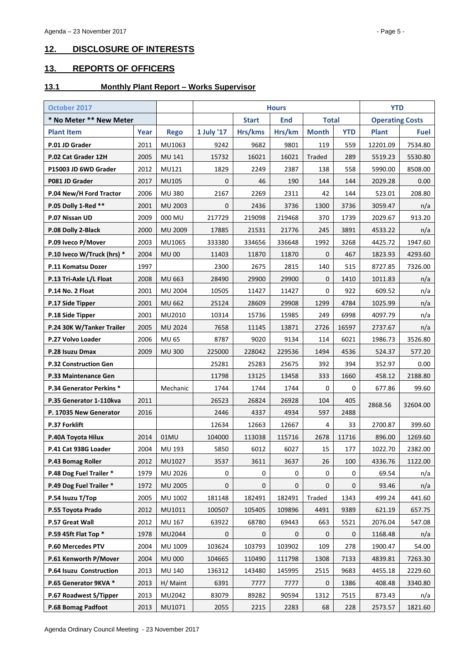# <span id="page-4-0"></span>**12. DISCLOSURE OF INTERESTS**

# <span id="page-4-1"></span>**13. REPORTS OF OFFICERS**

### <span id="page-4-2"></span>**13.1 Monthly Plant Report – Works Supervisor**

| October 2017                    |      |                |              | <b>Hours</b> |              |              | <b>YTD</b>             |              |             |
|---------------------------------|------|----------------|--------------|--------------|--------------|--------------|------------------------|--------------|-------------|
| * No Meter ** New Meter         |      |                | <b>Start</b> | <b>End</b>   | <b>Total</b> |              | <b>Operating Costs</b> |              |             |
| <b>Plant Item</b>               | Year | <b>Rego</b>    | 1 July '17   | Hrs/kms      | Hrs/km       | <b>Month</b> | <b>YTD</b>             | <b>Plant</b> | <b>Fuel</b> |
| P.01 JD Grader                  | 2011 | MU1063         | 9242         | 9682         | 9801         | 119          | 559                    | 12201.09     | 7534.80     |
| P.02 Cat Grader 12H             | 2005 | MU 141         | 15732        | 16021        | 16021        | Traded       | 289                    | 5519.23      | 5530.80     |
| P15003 JD 6WD Grader            | 2012 | MU121          | 1829         | 2249         | 2387         | 138          | 558                    | 5990.00      | 8508.00     |
| P081 JD Grader                  | 2017 | MU105          | 0            | 46           | 190          | 144          | 144                    | 2029.28      | 0.00        |
| P.04 New/H Ford Tractor         | 2006 | <b>MU380</b>   | 2167         | 2269         | 2311         | 42           | 144                    | 523.01       | 208.80      |
| P.05 Dolly 1-Red **             | 2001 | MU 2003        | 0            | 2436         | 3736         | 1300         | 3736                   | 3059.47      | n/a         |
| P.07 Nissan UD                  | 2009 | 000 MU         | 217729       | 219098       | 219468       | 370          | 1739                   | 2029.67      | 913.20      |
| P.08 Dolly 2-Black              | 2000 | <b>MU 2009</b> | 17885        | 21531        | 21776        | 245          | 3891                   | 4533.22      | n/a         |
| P.09 Iveco P/Mover              | 2003 | MU1065         | 333380       | 334656       | 336648       | 1992         | 3268                   | 4425.72      | 1947.60     |
| P.10 Iveco W/Truck (hrs) *      | 2004 | <b>MU00</b>    | 11403        | 11870        | 11870        | $\mathbf{0}$ | 467                    | 1823.93      | 4293.60     |
| P.11 Komatsu Dozer              | 1997 |                | 2300         | 2675         | 2815         | 140          | 515                    | 8727.85      | 7326.00     |
| P.13 Tri-Axle L/L Float         | 2008 | MU 663         | 28490        | 29900        | 29900        | $\mathbf{0}$ | 1410                   | 1011.83      | n/a         |
| P.14 No. 2 Float                | 2001 | <b>MU 2004</b> | 10505        | 11427        | 11427        | 0            | 922                    | 609.52       | n/a         |
| P.17 Side Tipper                | 2001 | <b>MU 662</b>  | 25124        | 28609        | 29908        | 1299         | 4784                   | 1025.99      | n/a         |
| P.18 Side Tipper                | 2001 | MU2010         | 10314        | 15736        | 15985        | 249          | 6998                   | 4097.79      | n/a         |
| P.24 30K W/Tanker Trailer       | 2005 | MU 2024        | 7658         | 11145        | 13871        | 2726         | 16597                  | 2737.67      | n/a         |
| P.27 Volvo Loader               | 2006 | <b>MU 65</b>   | 8787         | 9020         | 9134         | 114          | 6021                   | 1986.73      | 3526.80     |
| P.28 Isuzu Dmax                 | 2009 | <b>MU 300</b>  | 225000       | 228042       | 229536       | 1494         | 4536                   | 524.37       | 577.20      |
| <b>P.32 Construction Gen</b>    |      |                | 25281        | 25283        | 25675        | 392          | 394                    | 352.97       | 0.00        |
| P.33 Maintenance Gen            |      |                | 11798        | 13125        | 13458        | 333          | 1660                   | 458.12       | 2188.80     |
| <b>P.34 Generator Perkins *</b> |      | Mechanic       | 1744         | 1744         | 1744         | 0            | 0                      | 677.86       | 99.60       |
| P.35 Generator 1-110kva         | 2011 |                | 26523        | 26824        | 26928        | 104          | 405                    | 2868.56      | 32604.00    |
| P. 17035 New Generator          | 2016 |                | 2446         | 4337         | 4934         | 597          | 2488                   |              |             |
| P.37 Forklift                   |      |                | 12634        | 12663        | 12667        | 4            | 33                     | 2700.87      | 399.60      |
| P.40A Toyota Hilux              | 2014 | 01MU           | 104000       | 113038       | 115716       | 2678         | 11716                  | 896.00       | 1269.60     |
| P.41 Cat 938G Loader            | 2004 | MU 193         | 5850         | 6012         | 6027         | 15           | 177                    | 1022.70      | 2382.00     |
| P.43 Bomag Roller               | 2012 | MU1027         | 3537         | 3611         | 3637         | 26           | 100                    | 4336.76      | 1122.00     |
| P.48 Dog Fuel Trailer *         | 1979 | MU 2026        | 0            | 0            | 0            | 0            | 0                      | 69.54        | n/a         |
| P.49 Dog Fuel Trailer *         | 1972 | <b>MU 2005</b> | 0            | 0            | 0            | 0            | 0                      | 93.46        | n/a         |
| P.54 Isuzu T/Top                | 2005 | MU 1002        | 181148       | 182491       | 182491       | Traded       | 1343                   | 499.24       | 441.60      |
| P.55 Toyota Prado               | 2012 | MU1011         | 100507       | 105405       | 109896       | 4491         | 9389                   | 621.19       | 657.75      |
| P.57 Great Wall                 | 2012 | MU 167         | 63922        | 68780        | 69443        | 663          | 5521                   | 2076.04      | 547.08      |
| P.59 45ft Flat Top *            | 1978 | MU2044         | 0            | 0            | 0            | 0            | 0                      | 1168.48      | n/a         |
| P.60 Mercedes PTV               | 2004 | MU 1009        | 103624       | 103793       | 103902       | 109          | 278                    | 1900.47      | 54.00       |
| P.61 Kenworth P/Mover           | 2004 | <b>MU 000</b>  | 104665       | 110490       | 111798       | 1308         | 7133                   | 4839.81      | 7263.30     |
| P.64 Isuzu Construction         | 2013 | MU 140         | 136312       | 143480       | 145995       | 2515         | 9683                   | 4455.18      | 2229.60     |
| P.65 Generator 9KVA *           | 2013 | H/ Maint       | 6391         | 7777         | 7777         | 0            | 1386                   | 408.48       | 3340.80     |
| P.67 Roadwest S/Tipper          | 2013 | MU2042         | 83079        | 89282        | 90594        | 1312         | 7515                   | 873.43       | n/a         |
| P.68 Bomag Padfoot              | 2013 | MU1071         | 2055         | 2215         | 2283         | 68           | 228                    | 2573.57      | 1821.60     |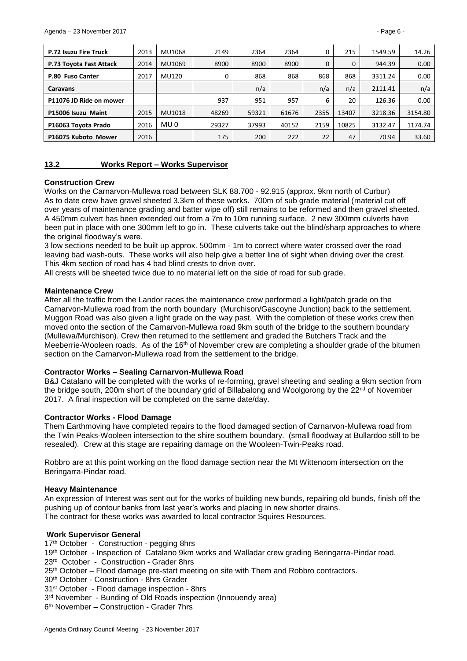| P.72 Isuzu Fire Truck   | 2013 | MU1068          | 2149  | 2364  | 2364  | 0    | 215   | 1549.59 | 14.26   |
|-------------------------|------|-----------------|-------|-------|-------|------|-------|---------|---------|
| P.73 Toyota Fast Attack | 2014 | MU1069          | 8900  | 8900  | 8900  | 0    | 0     | 944.39  | 0.00    |
| P.80 Fuso Canter        | 2017 | MU120           | 0     | 868   | 868   | 868  | 868   | 3311.24 | 0.00    |
| Caravans                |      |                 |       | n/a   |       | n/a  | n/a   | 2111.41 | n/a     |
| P11076 JD Ride on mower |      |                 | 937   | 951   | 957   | 6    | 20    | 126.36  | 0.00    |
| P15006 Isuzu Maint      | 2015 | MU1018          | 48269 | 59321 | 61676 | 2355 | 13407 | 3218.36 | 3154.80 |
| P16063 Toyota Prado     | 2016 | MU <sub>0</sub> | 29327 | 37993 | 40152 | 2159 | 10825 | 3132.47 | 1174.74 |
| P16075 Kuboto Mower     | 2016 |                 | 175   | 200   | 222   | 22   | 47    | 70.94   | 33.60   |

#### <span id="page-5-0"></span>**13.2 Works Report – Works Supervisor**

#### **Construction Crew**

Works on the Carnarvon-Mullewa road between SLK 88.700 - 92.915 (approx. 9km north of Curbur) As to date crew have gravel sheeted 3.3km of these works. 700m of sub grade material (material cut off over years of maintenance grading and batter wipe off) still remains to be reformed and then gravel sheeted. A 450mm culvert has been extended out from a 7m to 10m running surface. 2 new 300mm culverts have been put in place with one 300mm left to go in. These culverts take out the blind/sharp approaches to where the original floodway's were.

3 low sections needed to be built up approx. 500mm - 1m to correct where water crossed over the road leaving bad wash-outs. These works will also help give a better line of sight when driving over the crest. This 4km section of road has 4 bad blind crests to drive over.

All crests will be sheeted twice due to no material left on the side of road for sub grade.

### **Maintenance Crew**

After all the traffic from the Landor races the maintenance crew performed a light/patch grade on the Carnarvon-Mullewa road from the north boundary (Murchison/Gascoyne Junction) back to the settlement. Muggon Road was also given a light grade on the way past. With the completion of these works crew then moved onto the section of the Carnarvon-Mullewa road 9km south of the bridge to the southern boundary (Mullewa/Murchison). Crew then returned to the settlement and graded the Butchers Track and the Meeberrie-Wooleen roads. As of the 16<sup>th</sup> of November crew are completing a shoulder grade of the bitumen section on the Carnarvon-Mullewa road from the settlement to the bridge.

# **Contractor Works – Sealing Carnarvon-Mullewa Road**

B&J Catalano will be completed with the works of re-forming, gravel sheeting and sealing a 9km section from the bridge south, 200m short of the boundary grid of Billabalong and Woolgorong by the 22<sup>nd</sup> of November 2017. A final inspection will be completed on the same date/day.

# **Contractor Works - Flood Damage**

Them Earthmoving have completed repairs to the flood damaged section of Carnarvon-Mullewa road from the Twin Peaks-Wooleen intersection to the shire southern boundary. (small floodway at Bullardoo still to be resealed). Crew at this stage are repairing damage on the Wooleen-Twin-Peaks road.

Robbro are at this point working on the flood damage section near the Mt Wittenoom intersection on the Beringarra-Pindar road.

#### **Heavy Maintenance**

An expression of Interest was sent out for the works of building new bunds, repairing old bunds, finish off the pushing up of contour banks from last year's works and placing in new shorter drains. The contract for these works was awarded to local contractor Squires Resources.

# **Work Supervisor General**

17<sup>th</sup> October - Construction - pegging 8hrs 19th October - Inspection of Catalano 9km works and Walladar crew grading Beringarra-Pindar road. 23rd October - Construction - Grader 8hrs 25<sup>th</sup> October – Flood damage pre-start meeting on site with Them and Robbro contractors. 30th October - Construction - 8hrs Grader 31st October - Flood damage inspection - 8hrs 3<sup>rd</sup> November - Bunding of Old Roads inspection (Innouendy area) 6 th November – Construction - Grader 7hrs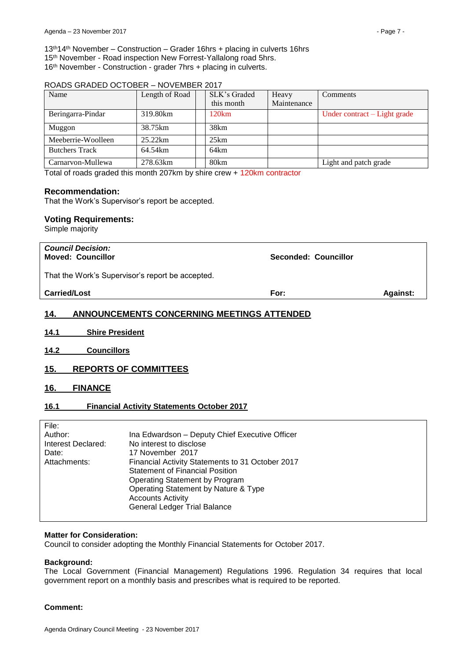13th14th November – Construction – Grader 16hrs + placing in culverts 16hrs 15<sup>th</sup> November - Road inspection New Forrest-Yallalong road 5hrs. 16th November - Construction - grader 7hrs + placing in culverts.

#### ROADS GRADED OCTOBER – NOVEMBER 2017

| Name                  | Length of Road | SLK's Graded<br>this month | Heavy<br>Maintenance | Comments                     |
|-----------------------|----------------|----------------------------|----------------------|------------------------------|
|                       |                |                            |                      |                              |
| Beringarra-Pindar     | 319.80km       | 120km                      |                      | Under contract – Light grade |
| Muggon                | 38.75km        | 38km                       |                      |                              |
| Meeberrie-Woolleen    | 25.22km        | 25km                       |                      |                              |
| <b>Butchers Track</b> | 64.54km        | 64km                       |                      |                              |
| Carnarvon-Mullewa     | 278.63km       | 80km                       |                      | Light and patch grade        |

Total of roads graded this month 207km by shire crew + 120km contractor

### **Recommendation:**

That the Work's Supervisor's report be accepted.

### **Voting Requirements:**

Simple majority

| <b>Council Decision:</b><br><b>Moved: Councillor</b> | <b>Seconded: Councillor</b> |                 |
|------------------------------------------------------|-----------------------------|-----------------|
| That the Work's Supervisor's report be accepted.     |                             |                 |
| <b>Carried/Lost</b>                                  | For:                        | <b>Against:</b> |
|                                                      |                             |                 |

# <span id="page-6-0"></span>**14. ANNOUNCEMENTS CONCERNING MEETINGS ATTENDED**

- <span id="page-6-1"></span>**14.1 Shire President**
- <span id="page-6-2"></span>**14.2 Councillors**

# <span id="page-6-3"></span>**15. REPORTS OF COMMITTEES**

<span id="page-6-4"></span>**16. FINANCE**

# <span id="page-6-5"></span>**16.1 Financial Activity Statements October 2017**

| File:              |                                                  |
|--------------------|--------------------------------------------------|
| Author:            | Ina Edwardson - Deputy Chief Executive Officer   |
| Interest Declared: | No interest to disclose                          |
| Date:              | 17 November 2017                                 |
| Attachments:       | Financial Activity Statements to 31 October 2017 |
|                    | <b>Statement of Financial Position</b>           |
|                    | Operating Statement by Program                   |
|                    | Operating Statement by Nature & Type             |
|                    | <b>Accounts Activity</b>                         |
|                    | <b>General Ledger Trial Balance</b>              |
|                    |                                                  |

#### **Matter for Consideration:**

Council to consider adopting the Monthly Financial Statements for October 2017.

#### **Background:**

The Local Government (Financial Management) Regulations 1996. Regulation 34 requires that local government report on a monthly basis and prescribes what is required to be reported.

#### **Comment:**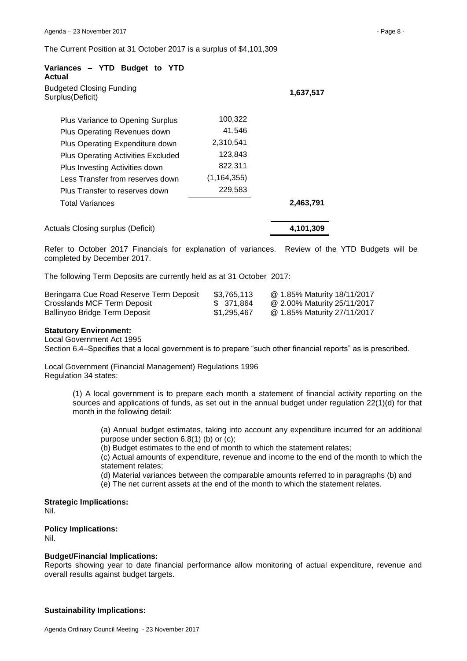The Current Position at 31 October 2017 is a surplus of \$4,101,309

| Actual<br><b>Budgeted Closing Funding</b> |               |           |
|-------------------------------------------|---------------|-----------|
| Surplus(Deficit)                          |               | 1,637,517 |
| Plus Variance to Opening Surplus          | 100,322       |           |
| Plus Operating Revenues down              | 41,546        |           |
| Plus Operating Expenditure down           | 2,310,541     |           |
| <b>Plus Operating Activities Excluded</b> | 123,843       |           |
| Plus Investing Activities down            | 822,311       |           |
| Less Transfer from reserves down          | (1, 164, 355) |           |
| Plus Transfer to reserves down            | 229,583       |           |
| Total Variances                           |               | 2,463,791 |
| Actuals Closing surplus (Deficit)         |               | 4,101,309 |

Refer to October 2017 Financials for explanation of variances. Review of the YTD Budgets will be completed by December 2017.

The following Term Deposits are currently held as at 31 October 2017:

| Beringarra Cue Road Reserve Term Deposit | \$3,765,113 | @ 1.85% Maturity 18/11/2017 |
|------------------------------------------|-------------|-----------------------------|
| Crosslands MCF Term Deposit              | \$371.864   | @ 2.00% Maturity 25/11/2017 |
| Ballinyoo Bridge Term Deposit            | \$1,295,467 | @ 1.85% Maturity 27/11/2017 |

#### **Statutory Environment:**

Local Government Act 1995

Section 6.4–Specifies that a local government is to prepare "such other financial reports" as is prescribed.

Local Government (Financial Management) Regulations 1996 Regulation 34 states:

> (1) A local government is to prepare each month a statement of financial activity reporting on the sources and applications of funds, as set out in the annual budget under regulation 22(1)(d) for that month in the following detail:

(a) Annual budget estimates, taking into account any expenditure incurred for an additional purpose under section 6.8(1) (b) or (c);

(b) Budget estimates to the end of month to which the statement relates;

(c) Actual amounts of expenditure, revenue and income to the end of the month to which the statement relates;

(d) Material variances between the comparable amounts referred to in paragraphs (b) and

(e) The net current assets at the end of the month to which the statement relates.

#### **Strategic Implications:** Nil.

**Policy Implications:** Nil.

#### **Budget/Financial Implications:**

Reports showing year to date financial performance allow monitoring of actual expenditure, revenue and overall results against budget targets.

#### **Sustainability Implications:**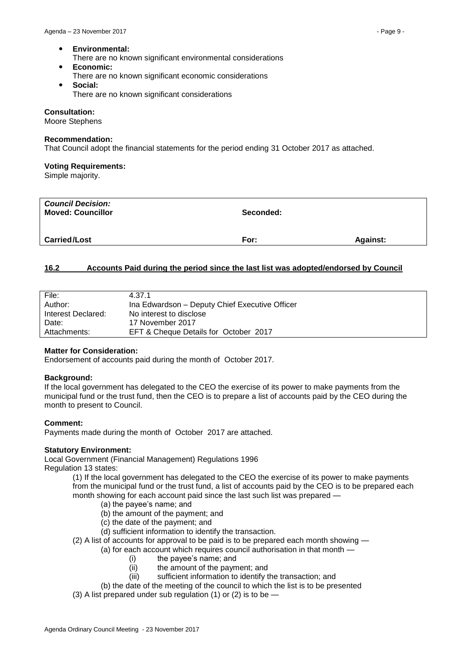- **Environmental:**
	- There are no known significant environmental considerations
- **Economic:** There are no known significant economic considerations
- **Social:** There are no known significant considerations

#### **Consultation:**

Moore Stephens

#### **Recommendation:**

That Council adopt the financial statements for the period ending 31 October 2017 as attached.

### **Voting Requirements:**

Simple majority.

| <b>Council Decision:</b><br><b>Moved: Councillor</b> | Seconded: |                 |
|------------------------------------------------------|-----------|-----------------|
| <b>Carried/Lost</b>                                  | For:      | <b>Against:</b> |

# <span id="page-8-0"></span>**16.2 Accounts Paid during the period since the last list was adopted/endorsed by Council**

| File:              | 4.37.1                                         |
|--------------------|------------------------------------------------|
| Author:            | Ina Edwardson - Deputy Chief Executive Officer |
| Interest Declared: | No interest to disclose                        |
| Date:              | 17 November 2017                               |
| Attachments:       | EFT & Cheque Details for October 2017          |

# **Matter for Consideration:**

Endorsement of accounts paid during the month of October 2017.

#### **Background:**

If the local government has delegated to the CEO the exercise of its power to make payments from the municipal fund or the trust fund, then the CEO is to prepare a list of accounts paid by the CEO during the month to present to Council.

# **Comment:**

Payments made during the month of October 2017 are attached.

# **Statutory Environment:**

Local Government (Financial Management) Regulations 1996 Regulation 13 states:

(1) If the local government has delegated to the CEO the exercise of its power to make payments from the municipal fund or the trust fund, a list of accounts paid by the CEO is to be prepared each month showing for each account paid since the last such list was prepared —

- (a) the payee's name; and
- (b) the amount of the payment; and
- (c) the date of the payment; and
- (d) sufficient information to identify the transaction.
- (2) A list of accounts for approval to be paid is to be prepared each month showing
	- (a) for each account which requires council authorisation in that month
		- (i) the payee's name; and
		- (ii) the amount of the payment; and
		- (iii) sufficient information to identify the transaction; and
	- (b) the date of the meeting of the council to which the list is to be presented
- (3) A list prepared under sub regulation (1) or (2) is to be  $-$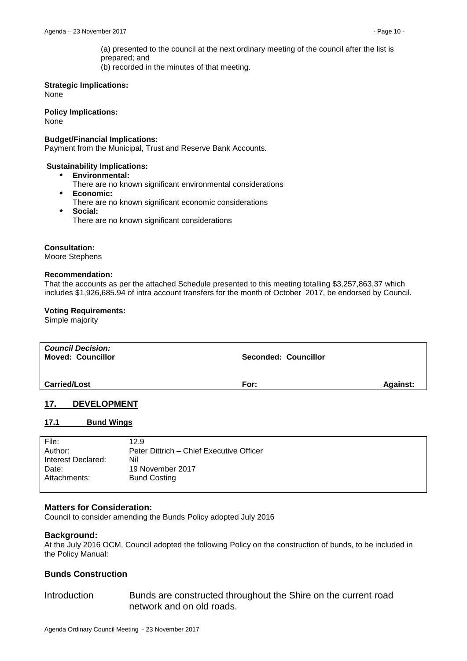(a) presented to the council at the next ordinary meeting of the council after the list is prepared; and (b) recorded in the minutes of that meeting.

### **Strategic Implications:**

None

# **Policy Implications:**

None

### **Budget/Financial Implications:**

Payment from the Municipal, Trust and Reserve Bank Accounts.

### **Sustainability Implications:**

- **Environmental:**
	- There are no known significant environmental considerations
- **Economic:**
- There are no known significant economic considerations
- **Social:**
	- There are no known significant considerations

### **Consultation:**

Moore Stephens

#### **Recommendation:**

That the accounts as per the attached Schedule presented to this meeting totalling \$3,257,863.37 which includes \$1,926,685.94 of intra account transfers for the month of October 2017, be endorsed by Council.

### **Voting Requirements:**

Simple majority

| <b>Council Decision:</b><br><b>Moved: Councillor</b> | Seconded: Councillor |                 |
|------------------------------------------------------|----------------------|-----------------|
| <b>Carried/Lost</b>                                  | For:                 | <b>Against:</b> |

# <span id="page-9-0"></span>**17. DEVELOPMENT**

# <span id="page-9-1"></span>**17.1 Bund Wings**

| File:              | 12.9                                     |
|--------------------|------------------------------------------|
| Author:            | Peter Dittrich – Chief Executive Officer |
| Interest Declared: | Nil                                      |
| Date:              | 19 November 2017                         |
| Attachments:       | <b>Bund Costing</b>                      |

# **Matters for Consideration:**

Council to consider amending the Bunds Policy adopted July 2016

# **Background:**

At the July 2016 OCM, Council adopted the following Policy on the construction of bunds, to be included in the Policy Manual:

# **Bunds Construction**

# Introduction Bunds are constructed throughout the Shire on the current road network and on old roads.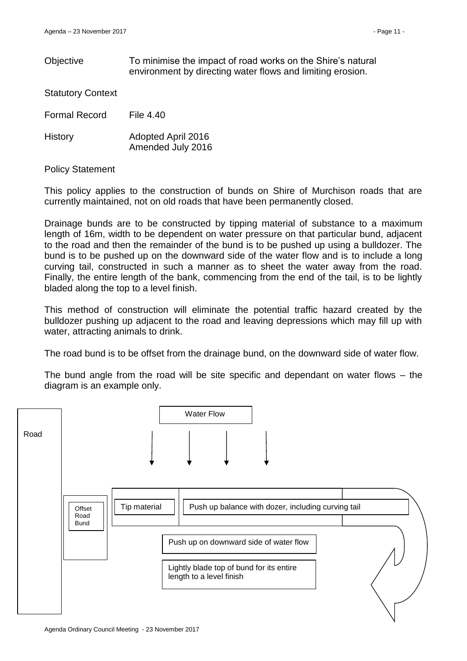Objective To minimise the impact of road works on the Shire's natural environment by directing water flows and limiting erosion.

Statutory Context

Formal Record File 4.40

History Adopted April 2016 Amended July 2016

Policy Statement

This policy applies to the construction of bunds on Shire of Murchison roads that are currently maintained, not on old roads that have been permanently closed.

Drainage bunds are to be constructed by tipping material of substance to a maximum length of 16m, width to be dependent on water pressure on that particular bund, adjacent to the road and then the remainder of the bund is to be pushed up using a bulldozer. The bund is to be pushed up on the downward side of the water flow and is to include a long curving tail, constructed in such a manner as to sheet the water away from the road. Finally, the entire length of the bank, commencing from the end of the tail, is to be lightly bladed along the top to a level finish.

This method of construction will eliminate the potential traffic hazard created by the bulldozer pushing up adjacent to the road and leaving depressions which may fill up with water, attracting animals to drink.

The road bund is to be offset from the drainage bund, on the downward side of water flow.

The bund angle from the road will be site specific and dependant on water flows – the diagram is an example only.

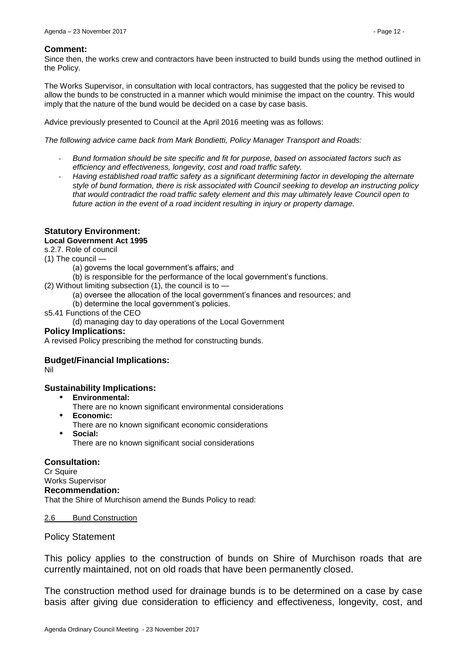#### **Comment:**

Since then, the works crew and contractors have been instructed to build bunds using the method outlined in the Policy.

The Works Supervisor, in consultation with local contractors, has suggested that the policy be revised to allow the bunds to be constructed in a manner which would minimise the impact on the country. This would imply that the nature of the bund would be decided on a case by case basis.

Advice previously presented to Council at the April 2016 meeting was as follows:

*The following advice came back from Mark Bondietti, Policy Manager Transport and Roads:*

- *Bund formation should be site specific and fit for purpose, based on associated factors such as efficiency and effectiveness, longevity, cost and road traffic safety.*
- *Having established road traffic safety as a significant determining factor in developing the alternate style of bund formation, there is risk associated with Council seeking to develop an instructing policy that would contradict the road traffic safety element and this may ultimately leave Council open to future action in the event of a road incident resulting in injury or property damage.*

# **Statutory Environment:**

### **Local Government Act 1995**

s.2.7. Role of council

(1) The council —

- (a) governs the local government's affairs; and
- (b) is responsible for the performance of the local government's functions.
- (2) Without limiting subsection  $(1)$ , the council is to  $-$ 
	- (a) oversee the allocation of the local government's finances and resources; and
	- (b) determine the local government's policies.
- s5.41 Functions of the CEO
	- (d) managing day to day operations of the Local Government

#### **Policy Implications:**

A revised Policy prescribing the method for constructing bunds.

# **Budget/Financial Implications:**

Nil

# **Sustainability Implications:**

- **Environmental:**
	- There are no known significant environmental considerations
- **Economic:**
- There are no known significant economic considerations
- **Social:**

There are no known significant social considerations

**Consultation:**

Cr Squire Works Supervisor **Recommendation:**  That the Shire of Murchison amend the Bunds Policy to read:

#### 2.6 Bund Construction

# Policy Statement

This policy applies to the construction of bunds on Shire of Murchison roads that are currently maintained, not on old roads that have been permanently closed.

The construction method used for drainage bunds is to be determined on a case by case basis after giving due consideration to efficiency and effectiveness, longevity, cost, and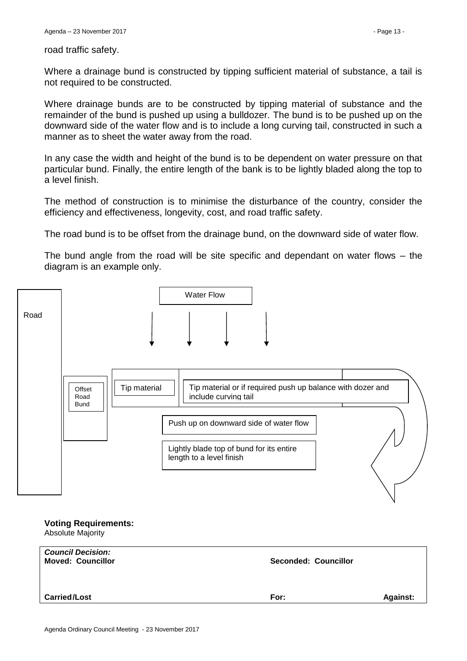road traffic safety.

Where a drainage bund is constructed by tipping sufficient material of substance, a tail is not required to be constructed.

Where drainage bunds are to be constructed by tipping material of substance and the remainder of the bund is pushed up using a bulldozer. The bund is to be pushed up on the downward side of the water flow and is to include a long curving tail, constructed in such a manner as to sheet the water away from the road.

In any case the width and height of the bund is to be dependent on water pressure on that particular bund. Finally, the entire length of the bank is to be lightly bladed along the top to a level finish.

The method of construction is to minimise the disturbance of the country, consider the efficiency and effectiveness, longevity, cost, and road traffic safety.

The road bund is to be offset from the drainage bund, on the downward side of water flow.

The bund angle from the road will be site specific and dependant on water flows – the diagram is an example only.



#### **Voting Requirements:** Absolute Majority

| <b>Carried/Lost</b> | For: | <b>Against:</b> |
|---------------------|------|-----------------|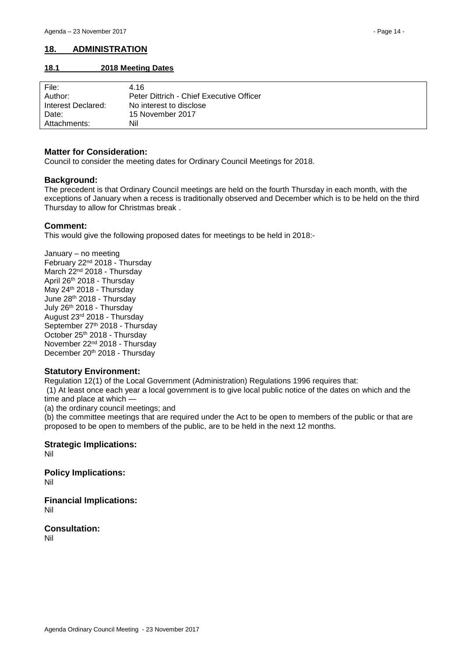# <span id="page-13-0"></span>**18. ADMINISTRATION**

### <span id="page-13-1"></span>**18.1 2018 Meeting Dates**

| File:              | 4.16                                     |
|--------------------|------------------------------------------|
| Author:            | Peter Dittrich - Chief Executive Officer |
| Interest Declared: | No interest to disclose                  |
| Date:              | 15 November 2017                         |
| Attachments:       | Nil                                      |

### **Matter for Consideration:**

Council to consider the meeting dates for Ordinary Council Meetings for 2018.

# **Background:**

The precedent is that Ordinary Council meetings are held on the fourth Thursday in each month, with the exceptions of January when a recess is traditionally observed and December which is to be held on the third Thursday to allow for Christmas break .

# **Comment:**

This would give the following proposed dates for meetings to be held in 2018:-

January – no meeting February 22nd 2018 - Thursday March 22<sup>nd</sup> 2018 - Thursday April 26th 2018 - Thursday May 24<sup>th</sup> 2018 - Thursday June 28th 2018 - Thursday July 26 th 2018 - Thursday August 23rd 2018 - Thursday September 27th 2018 - Thursday October 25th 2018 - Thursday November 22nd 2018 - Thursday December 20<sup>th</sup> 2018 - Thursday

# **Statutory Environment:**

Regulation 12(1) of the Local Government (Administration) Regulations 1996 requires that:

(1) At least once each year a local government is to give local public notice of the dates on which and the time and place at which —

(a) the ordinary council meetings; and

(b) the committee meetings that are required under the Act to be open to members of the public or that are proposed to be open to members of the public, are to be held in the next 12 months.

**Strategic Implications:**

Nil

**Policy Implications:** Nil

**Financial Implications:** Nil

**Consultation:** Nil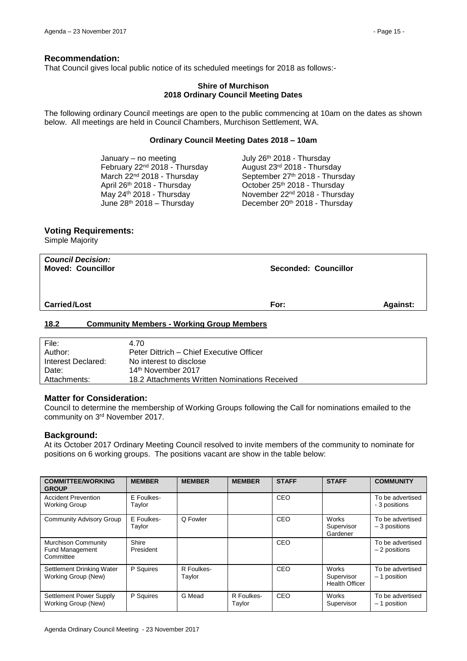### **Recommendation:**

That Council gives local public notice of its scheduled meetings for 2018 as follows:-

#### **Shire of Murchison 2018 Ordinary Council Meeting Dates**

The following ordinary Council meetings are open to the public commencing at 10am on the dates as shown below. All meetings are held in Council Chambers, Murchison Settlement, WA.

#### **Ordinary Council Meeting Dates 2018 – 10am**

| July 26th 2018 - Thursday                 |
|-------------------------------------------|
| August 23rd 2018 - Thursday               |
| September 27th 2018 - Thursday            |
| October 25th 2018 - Thursday              |
| November 22 <sup>nd</sup> 2018 - Thursday |
| December 20th 2018 - Thursday             |
|                                           |

### **Voting Requirements:**

Simple Majority

| <b>Council Decision:</b><br><b>Moved: Councillor</b> | <b>Seconded: Councillor</b> |                 |
|------------------------------------------------------|-----------------------------|-----------------|
| <b>Carried/Lost</b>                                  | For:                        | <b>Against:</b> |

### <span id="page-14-0"></span>**18.2 Community Members - Working Group Members**

| File:              | 4.70                                          |
|--------------------|-----------------------------------------------|
| Author:            | Peter Dittrich – Chief Executive Officer      |
| Interest Declared: | No interest to disclose                       |
| Date:              | 14 <sup>th</sup> November 2017                |
| Attachments:       | 18.2 Attachments Written Nominations Received |

#### **Matter for Consideration:**

Council to determine the membership of Working Groups following the Call for nominations emailed to the community on 3rd November 2017.

#### **Background:**

At its October 2017 Ordinary Meeting Council resolved to invite members of the community to nominate for positions on 6 working groups. The positions vacant are show in the table below:

| <b>COMMITTEE/WORKING</b><br><b>GROUP</b>                          | <b>MEMBER</b>        | <b>MEMBER</b>        | <b>MEMBER</b>        | <b>STAFF</b> | <b>STAFF</b>                                 | <b>COMMUNITY</b>                   |
|-------------------------------------------------------------------|----------------------|----------------------|----------------------|--------------|----------------------------------------------|------------------------------------|
| <b>Accident Prevention</b><br>Working Group                       | E Foulkes-<br>Taylor |                      |                      | CEO          |                                              | To be advertised<br>- 3 positions  |
| <b>Community Advisory Group</b>                                   | E Foulkes-<br>Taylor | Q Fowler             |                      | CEO          | Works<br>Supervisor<br>Gardener              | To be advertised<br>$-3$ positions |
| <b>Murchison Community</b><br><b>Fund Management</b><br>Committee | Shire<br>President   |                      |                      | CEO          |                                              | To be advertised<br>$-2$ positions |
| Settlement Drinking Water<br>Working Group (New)                  | P Squires            | R Foulkes-<br>Taylor |                      | CEO          | Works<br>Supervisor<br><b>Health Officer</b> | To be advertised<br>- 1 position   |
| Settlement Power Supply<br>Working Group (New)                    | P Squires            | G Mead               | R Foulkes-<br>Taylor | CEO          | Works<br>Supervisor                          | To be advertised<br>- 1 position   |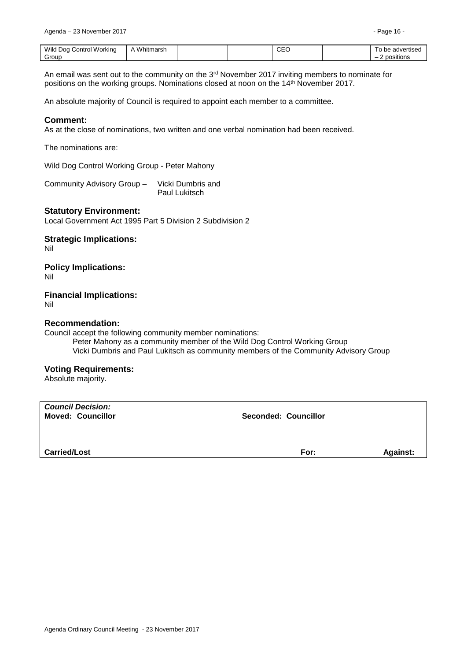| Wild Dog Control<br>I Workina | Whitmarsh<br>$\Delta$ |  | $\sim$ $\sim$<br>◡⊏◡<br>__ | advertised<br>be |
|-------------------------------|-----------------------|--|----------------------------|------------------|
| Group                         |                       |  |                            | positions<br>-   |

An email was sent out to the community on the 3rd November 2017 inviting members to nominate for positions on the working groups. Nominations closed at noon on the 14th November 2017.

An absolute majority of Council is required to appoint each member to a committee.

### **Comment:**

As at the close of nominations, two written and one verbal nomination had been received.

The nominations are:

Wild Dog Control Working Group - Peter Mahony

Community Advisory Group – Vicki Dumbris and Paul Lukitsch

### **Statutory Environment:**

Local Government Act 1995 Part 5 Division 2 Subdivision 2

**Strategic Implications:** Nil

# **Policy Implications:**

Nil

**Financial Implications:** Nil

# **Recommendation:**

Council accept the following community member nominations: Peter Mahony as a community member of the Wild Dog Control Working Group Vicki Dumbris and Paul Lukitsch as community members of the Community Advisory Group

#### **Voting Requirements:**

Absolute majority.

| <b>Council Decision:</b><br><b>Moved: Councillor</b> | <b>Seconded: Councillor</b> |                 |
|------------------------------------------------------|-----------------------------|-----------------|
| <b>Carried/Lost</b>                                  | For:                        | <b>Against:</b> |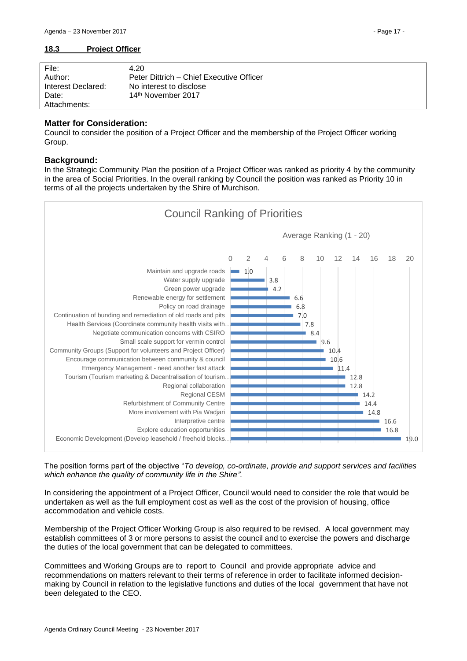<span id="page-16-0"></span>

| File:              | 4.20                                     |
|--------------------|------------------------------------------|
| Author:            | Peter Dittrich – Chief Executive Officer |
| Interest Declared: | No interest to disclose                  |
| Date:              | 14 <sup>th</sup> November 2017           |
| Attachments:       |                                          |

#### **Matter for Consideration:**

Council to consider the position of a Project Officer and the membership of the Project Officer working Group.

### **Background:**

In the Strategic Community Plan the position of a Project Officer was ranked as priority 4 by the community in the area of Social Priorities. In the overall ranking by Council the position was ranked as Priority 10 in terms of all the projects undertaken by the Shire of Murchison.



The position forms part of the objective "*To develop, co-ordinate, provide and support services and facilities which enhance the quality of community life in the Shire".*

In considering the appointment of a Project Officer, Council would need to consider the role that would be undertaken as well as the full employment cost as well as the cost of the provision of housing, office accommodation and vehicle costs.

Membership of the Project Officer Working Group is also required to be revised. A local government may establish committees of 3 or more persons to assist the council and to exercise the powers and discharge the duties of the local government that can be delegated to committees.

Committees and Working Groups are to report to Council and provide appropriate advice and recommendations on matters relevant to their terms of reference in order to facilitate informed decisionmaking by Council in relation to the legislative functions and duties of the local government that have not been delegated to the CEO.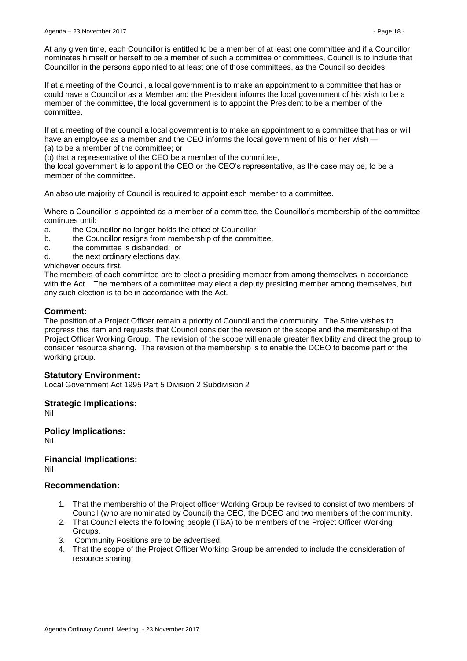At any given time, each Councillor is entitled to be a member of at least one committee and if a Councillor nominates himself or herself to be a member of such a committee or committees, Council is to include that Councillor in the persons appointed to at least one of those committees, as the Council so decides.

If at a meeting of the Council, a local government is to make an appointment to a committee that has or could have a Councillor as a Member and the President informs the local government of his wish to be a member of the committee, the local government is to appoint the President to be a member of the committee.

If at a meeting of the council a local government is to make an appointment to a committee that has or will have an employee as a member and the CEO informs the local government of his or her wish (a) to be a member of the committee; or

(b) that a representative of the CEO be a member of the committee,

the local government is to appoint the CEO or the CEO's representative, as the case may be, to be a member of the committee.

An absolute majority of Council is required to appoint each member to a committee.

Where a Councillor is appointed as a member of a committee, the Councillor's membership of the committee continues until:

- a. the Councillor no longer holds the office of Councillor;
- b. the Councillor resigns from membership of the committee.
- c. the committee is disbanded; or
- d. the next ordinary elections day,

whichever occurs first.

The members of each committee are to elect a presiding member from among themselves in accordance with the Act. The members of a committee may elect a deputy presiding member among themselves, but any such election is to be in accordance with the Act.

# **Comment:**

The position of a Project Officer remain a priority of Council and the community. The Shire wishes to progress this item and requests that Council consider the revision of the scope and the membership of the Project Officer Working Group. The revision of the scope will enable greater flexibility and direct the group to consider resource sharing. The revision of the membership is to enable the DCEO to become part of the working group.

# **Statutory Environment:**

Local Government Act 1995 Part 5 Division 2 Subdivision 2

**Strategic Implications:**

Nil

**Policy Implications:** Nil

**Financial Implications:** Nil

# **Recommendation:**

- 1. That the membership of the Project officer Working Group be revised to consist of two members of Council (who are nominated by Council) the CEO, the DCEO and two members of the community.
- 2. That Council elects the following people (TBA) to be members of the Project Officer Working Groups.
- 3. Community Positions are to be advertised.
- 4. That the scope of the Project Officer Working Group be amended to include the consideration of resource sharing.